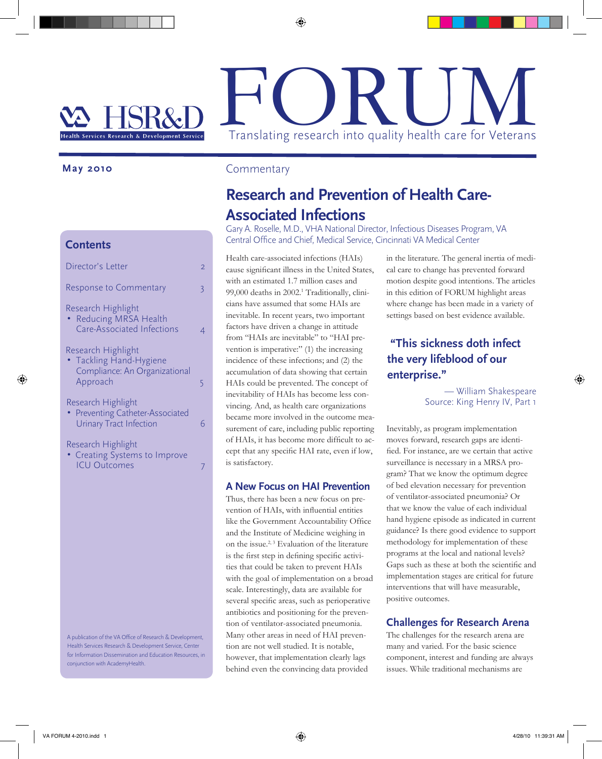# FORUM

#### **May 2010**

## **Contents**

| Director's Letter                                                                          | $\overline{2}$ |
|--------------------------------------------------------------------------------------------|----------------|
| <b>Response to Commentary</b>                                                              | 3              |
| Research Highlight<br>• Reducing MRSA Health<br>Care-Associated Infections                 |                |
| Research Highlight<br>• Tackling Hand-Hygiene<br>Compliance: An Organizational<br>Approach | 5              |
| Research Highlight<br>• Preventing Catheter-Associated<br><b>Urinary Tract Infection</b>   |                |
| Research Highlight<br>• Creating Systems to Improve<br><b>ICU Outcomes</b>                 |                |

A publication of the VA Office of Research & Development, Health Services Research & Development Service, Center for Information Dissemination and Education Resources, in conjunction with AcademyHealth.

# Commentary

# **Research and Prevention of Health Care-Associated Infections**

Gary A. Roselle, M.D., VHA National Director, Infectious Diseases Program, VA Central Office and Chief, Medical Service, Cincinnati VA Medical Center

Health care-associated infections (HAIs) cause significant illness in the United States, with an estimated 1.7 million cases and 99,000 deaths in 2002.<sup>1</sup> Traditionally, clinicians have assumed that some HAIs are inevitable. In recent years, two important factors have driven a change in attitude from "HAIs are inevitable" to "HAI prevention is imperative:" (1) the increasing incidence of these infections; and (2) the accumulation of data showing that certain HAIs could be prevented. The concept of inevitability of HAIs has become less convincing. And, as health care organizations became more involved in the outcome measurement of care, including public reporting of HAIs, it has become more difficult to accept that any specific HAI rate, even if low, is satisfactory.

## **A New Focus on HAI Prevention**

Thus, there has been a new focus on prevention of HAIs, with influential entities like the Government Accountability Office and the Institute of Medicine weighing in on the issue.<sup>2, 3</sup> Evaluation of the literature is the first step in defining specific activities that could be taken to prevent HAIs with the goal of implementation on a broad scale. Interestingly, data are available for several specific areas, such as perioperative antibiotics and positioning for the prevention of ventilator-associated pneumonia. Many other areas in need of HAI prevention are not well studied. It is notable, however, that implementation clearly lags behind even the convincing data provided

in the literature. The general inertia of medical care to change has prevented forward motion despite good intentions. The articles in this edition of FORUM highlight areas where change has been made in a variety of settings based on best evidence available.

# **"This sickness doth infect the very lifeblood of our enterprise."**

— William Shakespeare Source: King Henry IV, Part 1

Inevitably, as program implementation moves forward, research gaps are identified. For instance, are we certain that active surveillance is necessary in a MRSA program? That we know the optimum degree of bed elevation necessary for prevention of ventilator-associated pneumonia? Or that we know the value of each individual hand hygiene episode as indicated in current guidance? Is there good evidence to support methodology for implementation of these programs at the local and national levels? Gaps such as these at both the scientific and implementation stages are critical for future interventions that will have measurable, positive outcomes.

# **Challenges for Research Arena**

The challenges for the research arena are many and varied. For the basic science component, interest and funding are always issues. While traditional mechanisms are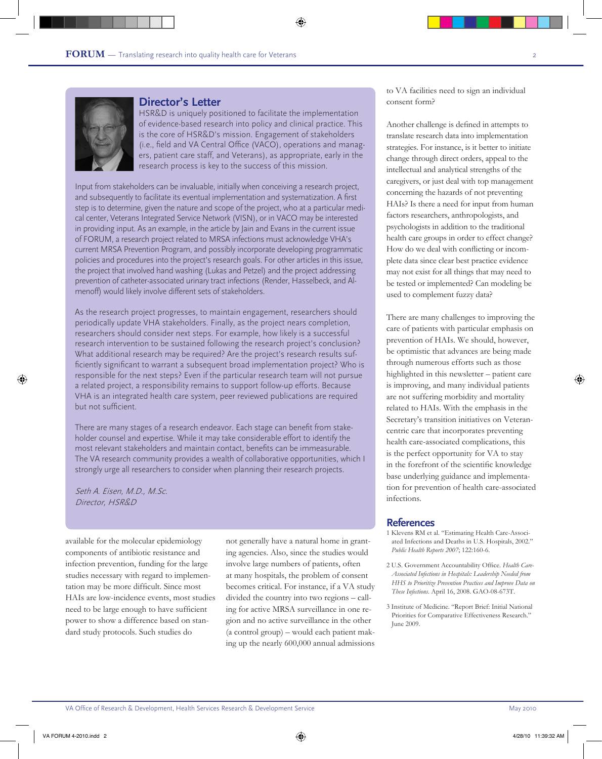

#### **Director's Letter**

HSR&D is uniquely positioned to facilitate the implementation of evidence-based research into policy and clinical practice. This is the core of HSR&D's mission. Engagement of stakeholders (i.e., field and VA Central Office (VACO), operations and managers, patient care staff, and Veterans), as appropriate, early in the research process is key to the success of this mission.

Input from stakeholders can be invaluable, initially when conceiving a research project, and subsequently to facilitate its eventual implementation and systematization. A first step is to determine, given the nature and scope of the project, who at a particular medical center, Veterans Integrated Service Network (VISN), or in VACO may be interested in providing input. As an example, in the article by Jain and Evans in the current issue of FORUM, a research project related to MRSA infections must acknowledge VHA's current MRSA Prevention Program, and possibly incorporate developing programmatic policies and procedures into the project's research goals. For other articles in this issue, the project that involved hand washing (Lukas and Petzel) and the project addressing prevention of catheter-associated urinary tract infections (Render, Hasselbeck, and Almenoff) would likely involve different sets of stakeholders.

As the research project progresses, to maintain engagement, researchers should periodically update VHA stakeholders. Finally, as the project nears completion, researchers should consider next steps. For example, how likely is a successful research intervention to be sustained following the research project's conclusion? What additional research may be required? Are the project's research results sufficiently significant to warrant a subsequent broad implementation project? Who is responsible for the next steps? Even if the particular research team will not pursue a related project, a responsibility remains to support follow-up efforts. Because VHA is an integrated health care system, peer reviewed publications are required but not sufficient.

There are many stages of a research endeavor. Each stage can benefit from stakeholder counsel and expertise. While it may take considerable effort to identify the most relevant stakeholders and maintain contact, benefits can be immeasurable. The VA research community provides a wealth of collaborative opportunities, which I strongly urge all researchers to consider when planning their research projects.

Seth A. Eisen, M.D., M.Sc. Director, HSR&D

available for the molecular epidemiology components of antibiotic resistance and infection prevention, funding for the large studies necessary with regard to implementation may be more difficult. Since most HAIs are low-incidence events, most studies need to be large enough to have sufficient power to show a difference based on standard study protocols. Such studies do

not generally have a natural home in granting agencies. Also, since the studies would involve large numbers of patients, often at many hospitals, the problem of consent becomes critical. For instance, if a VA study divided the country into two regions – calling for active MRSA surveillance in one region and no active surveillance in the other (a control group) – would each patient making up the nearly 600,000 annual admissions to VA facilities need to sign an individual consent form?

Another challenge is defined in attempts to translate research data into implementation strategies. For instance, is it better to initiate change through direct orders, appeal to the intellectual and analytical strengths of the caregivers, or just deal with top management concerning the hazards of not preventing HAIs? Is there a need for input from human factors researchers, anthropologists, and psychologists in addition to the traditional health care groups in order to effect change? How do we deal with conflicting or incomplete data since clear best practice evidence may not exist for all things that may need to be tested or implemented? Can modeling be used to complement fuzzy data?

There are many challenges to improving the care of patients with particular emphasis on prevention of HAIs. We should, however, be optimistic that advances are being made through numerous efforts such as those highlighted in this newsletter – patient care is improving, and many individual patients are not suffering morbidity and mortality related to HAIs. With the emphasis in the Secretary's transition initiatives on Veterancentric care that incorporates preventing health care-associated complications, this is the perfect opportunity for VA to stay in the forefront of the scientific knowledge base underlying guidance and implementation for prevention of health care-associated infections.

- 1 Klevens RM et al. "Estimating Health Care-Associated Infections and Deaths in U.S. Hospitals, 2002." *Public Health Reports 2007*; 122:160-6.
- 2 U.S. Government Accountability Office. *Health Care-Associated Infections in Hospitals: Leadership Needed from HHS to Prioritize Prevention Practices and Improve Data on These Infections*. April 16, 2008. GAO-08-673T.
- 3 Institute of Medicine. "Report Brief: Initial National Priorities for Comparative Effectiveness Research." June 2009.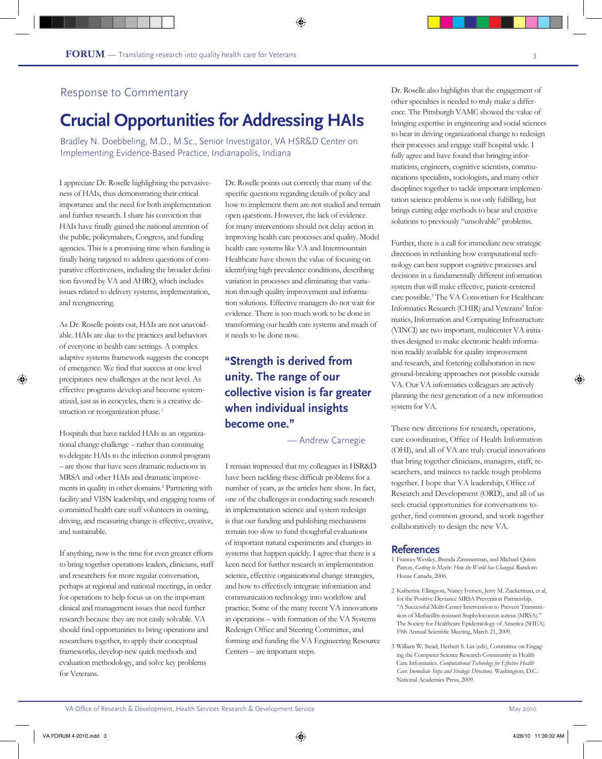# Response to Commentary

# **Crucial Opportunities for Addressing HAIs**

Bradley N. Doebbeling, M.D., M.Sc., Senior Investigator, VA HSR&D Center on Implementing Evidence-Based Practice, Indianapolis, Indiana

I appreciate Dr. Roselle highlighting the pervasiveness of HAIs, thus demonstrating their critical importance and the need for both implementation and further research. I share his conviction that HAIs have finally gained the national attention of the public, policymakers, Congress, and funding agencies. This is a promising time when funding is finally being targeted to address questions of comparative effectiveness, including the broader definition favored by VA and AHRQ, which includes issues related to delivery systems, implementation, and reengineering.

As Dr. Roselle points out, HAIs are not unavoidable. HAIs are due to the practices and behaviors of everyone in health care settings. A complex adaptive systems framework suggests the concept of emergence. We find that success at one level precipitates new challenges at the next level. As effective programs develop and become systematized, just as in ecocycles, there is a creative destruction or reorganization phase.<sup>1</sup>

Hospitals that have tackled HAIs as an organizational change challenge – rather than continuing to delegate HAIs to the infection control program – are those that have seen dramatic reductions in MRSA and other HAIs and dramatic improvements in quality in other domains.2 Partnering with facility and VISN leadership, and engaging teams of committed health care staff volunteers in owning, driving, and measuring change is effective, creative, and sustainable.

If anything, now is the time for even greater efforts to bring together operations leaders, clinicians, staff and researchers for more regular conversation, perhaps at regional and national meetings, in order for operations to help focus us on the important clinical and management issues that need further research because they are not easily solvable. VA should find opportunities to bring operations and researchers together, to apply their conceptual frameworks, develop new quick methods and evaluation methodology, and solve key problems for Veterans.

Dr. Roselle points out correctly that many of the specific questions regarding details of policy and how to implement them are not studied and remain open questions. However, the lack of evidence for many interventions should not delay action in improving health care processes and quality. Model health care systems like VA and Intermountain Healthcare have shown the value of focusing on identifying high prevalence conditions, describing variation in processes and eliminating that variation through quality improvement and information solutions. Effective managers do not wait for evidence. There is too much work to be done in transforming our health care systems and much of it needs to be done now.

# **"Strength is derived from unity. The range of our collective vision is far greater when individual insights become one."**

— Andrew Carnegie

I remain impressed that my colleagues in HSR&D have been tackling these difficult problems for a number of years, as the articles here show. In fact, one of the challenges in conducting such research in implementation science and system redesign is that our funding and publishing mechanisms remain too slow to fund thoughtful evaluations of important natural experiments and changes in systems that happen quickly. I agree that there is a keen need for further research in implementation science, effective organizational change strategies, and how to effectively integrate information and communication technology into workflow and practice. Some of the many recent VA innovations in operations – with formation of the VA Systems Redesign Office and Steering Committee, and forming and funding the VA Engineering Resource Centers – are important steps.

Dr. Roselle also highlights that the engagement of other specialties is needed to truly make a difference. The Pittsburgh VAMC showed the value of bringing expertise in engineering and social sciences to bear in driving organizational change to redesign their processes and engage staff hospital wide. I fully agree and have found that bringing informaticists, engineers, cognitive scientists, communications specialists, sociologists, and many other disciplines together to tackle important implementation science problems is not only fulfilling, but brings cutting edge methods to bear and creative solutions to previously "unsolvable" problems.

Further, there is a call for immediate new strategic directions in rethinking how computational technology can best support cognitive processes and decisions in a fundamentally different information system that will make effective, patient-centered care possible.3 The VA Consortium for Healthcare Informatics Research (CHIR) and Veterans' Informatics, Information and Computing Infrastructure (VINCI) are two important, multicenter VA initiatives designed to make electronic health information readily available for quality improvement and research, and fostering collaboration in new ground-breaking approaches not possible outside VA. Our VA informatics colleagues are actively planning the next generation of a new information system for VA.

These new directions for research, operations, care coordination, Office of Health Information (OHI), and all of VA are truly crucial innovations that bring together clinicians, managers, staff, researchers, and trainees to tackle tough problems together. I hope that VA leadership, Office of Research and Development (ORD), and all of us seek crucial opportunities for conversations together, find common ground, and work together collaboratively to design the new VA.

- 1 Frances Westley, Brenda Zimmerman, and Michael Quinn Patton. *Getting to Maybe: How the World has Changed*. Random House Canada, 2006.
- 2 Katherine Ellingson, Nancy Iversen, Jerry M. Zuckerman, et al, for the Positive Deviance MRSA Prevention Partnership. "A Successful Multi-Center Intervention to Prevent Transmission of Methicillin-resistant Staphylococcus aureus (MRSA)." The Society for Healthcare Epidemiology of America (SHEA) 19th Annual Scientific Meeting, March 21, 2009.
- 3 William W. Stead, Herbert S. Lin (eds), Committee on Engaging the Computer Science Research Community in Health Care Informatics. *Computational Technology for Effective Health Care: Immediate Steps and Strategic Directions.* Washington, D.C.: National Academies Press, 2009.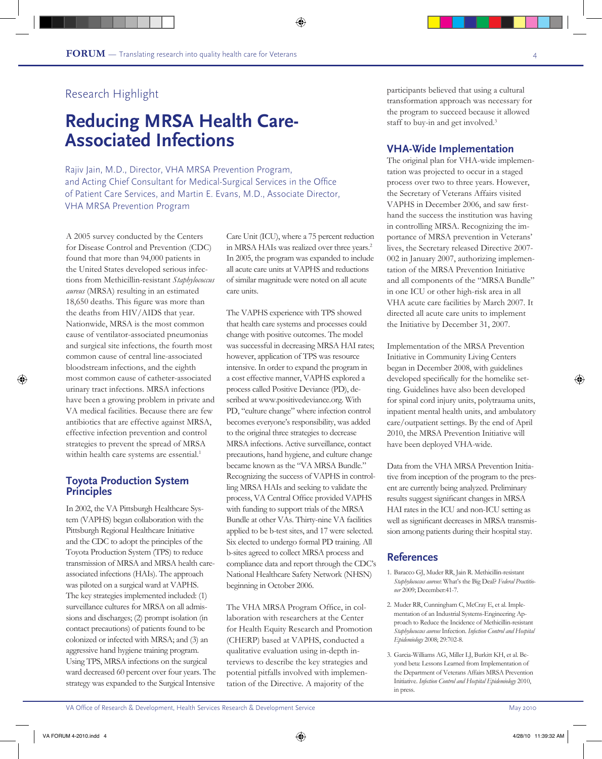# **Reducing MRSA Health Care-Associated Infections**

Rajiv Jain, M.D., Director, VHA MRSA Prevention Program, and Acting Chief Consultant for Medical-Surgical Services in the Office of Patient Care Services, and Martin E. Evans, M.D., Associate Director, VHA MRSA Prevention Program

A 2005 survey conducted by the Centers for Disease Control and Prevention (CDC) found that more than 94,000 patients in the United States developed serious infections from Methicillin-resistant *Staphylococcus aureus* (MRSA) resulting in an estimated 18,650 deaths. This figure was more than the deaths from HIV/AIDS that year. Nationwide, MRSA is the most common cause of ventilator-associated pneumonias and surgical site infections, the fourth most common cause of central line-associated bloodstream infections, and the eighth most common cause of catheter-associated urinary tract infections. MRSA infections have been a growing problem in private and VA medical facilities. Because there are few antibiotics that are effective against MRSA, effective infection prevention and control strategies to prevent the spread of MRSA within health care systems are essential.<sup>1</sup>

#### **Toyota Production System Principles**

In 2002, the VA Pittsburgh Healthcare System (VAPHS) began collaboration with the Pittsburgh Regional Healthcare Initiative and the CDC to adopt the principles of the Toyota Production System (TPS) to reduce transmission of MRSA and MRSA health careassociated infections (HAIs). The approach was piloted on a surgical ward at VAPHS. The key strategies implemented included: (1) surveillance cultures for MRSA on all admissions and discharges; (2) prompt isolation (in contact precautions) of patients found to be colonized or infected with MRSA; and (3) an aggressive hand hygiene training program. Using TPS, MRSA infections on the surgical ward decreased 60 percent over four years. The strategy was expanded to the Surgical Intensive

Care Unit (ICU), where a 75 percent reduction in MRSA HAIs was realized over three years.<sup>2</sup> In 2005, the program was expanded to include all acute care units at VAPHS and reductions of similar magnitude were noted on all acute care units.

The VAPHS experience with TPS showed that health care systems and processes could change with positive outcomes. The model was successful in decreasing MRSA HAI rates; however, application of TPS was resource intensive. In order to expand the program in a cost effective manner, VAPHS explored a process called Positive Deviance (PD), described at www.positivedeviance.org. With PD, "culture change" where infection control becomes everyone's responsibility, was added to the original three strategies to decrease MRSA infections. Active surveillance, contact precautions, hand hygiene, and culture change became known as the "VA MRSA Bundle." Recognizing the success of VAPHS in controlling MRSA HAIs and seeking to validate the process, VA Central Office provided VAPHS with funding to support trials of the MRSA Bundle at other VAs. Thirty-nine VA facilities applied to be b-test sites, and 17 were selected. Six elected to undergo formal PD training. All b-sites agreed to collect MRSA process and compliance data and report through the CDC's National Healthcare Safety Network (NHSN) beginning in October 2006.

The VHA MRSA Program Office, in collaboration with researchers at the Center for Health Equity Research and Promotion (CHERP) based at VAPHS, conducted a qualitative evaluation using in-depth interviews to describe the key strategies and potential pitfalls involved with implementation of the Directive. A majority of the

participants believed that using a cultural transformation approach was necessary for the program to succeed because it allowed staff to buy-in and get involved.<sup>3</sup>

## **VHA-Wide Implementation**

The original plan for VHA-wide implementation was projected to occur in a staged process over two to three years. However, the Secretary of Veterans Affairs visited VAPHS in December 2006, and saw firsthand the success the institution was having in controlling MRSA. Recognizing the importance of MRSA prevention in Veterans' lives, the Secretary released Directive 2007- 002 in January 2007, authorizing implementation of the MRSA Prevention Initiative and all components of the "MRSA Bundle" in one ICU or other high-risk area in all VHA acute care facilities by March 2007. It directed all acute care units to implement the Initiative by December 31, 2007.

Implementation of the MRSA Prevention Initiative in Community Living Centers began in December 2008, with guidelines developed specifically for the homelike setting. Guidelines have also been developed for spinal cord injury units, polytrauma units, inpatient mental health units, and ambulatory care/outpatient settings. By the end of April 2010, the MRSA Prevention Initiative will have been deployed VHA-wide.

Data from the VHA MRSA Prevention Initiative from inception of the program to the present are currently being analyzed. Preliminary results suggest significant changes in MRSA HAI rates in the ICU and non-ICU setting as well as significant decreases in MRSA transmission among patients during their hospital stay.

- 1. Baracco GJ, Muder RR, Jain R. Methicillin-resistant *Staphylococcus aureus*: What's the Big Deal? *Federal Practitioner* 2009; December:41-7.
- 2. Muder RR, Cunningham C, McCray E, et al. Implementation of an Industrial Systems-Engineering Approach to Reduce the Incidence of Methicillin-resistant *Staphylococcus aureus* Infection. *Infection Control and Hospital Epidemiology* 2008; 29:702-8.
- 3. Garcia-Williams AG, Miller LJ, Burkitt KH, et al. Beyond beta: Lessons Learned from Implementation of the Department of Veterans Affairs MRSA Prevention Initiative. *Infection Control and Hospital Epidemiology* 2010, in press.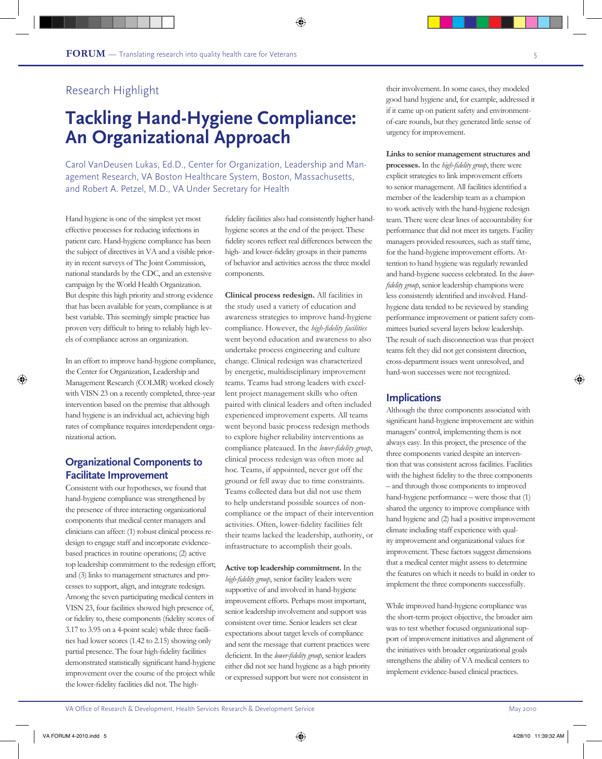# **Tackling Hand-Hygiene Compliance: An Organizational Approach**

Carol VanDeusen Lukas, Ed.D., Center for Organization, Leadership and Management Research, VA Boston Healthcare System, Boston, Massachusetts, and Robert A. Petzel, M.D., VA Under Secretary for Health

Hand hygiene is one of the simplest yet most effective processes for reducing infections in patient care. Hand-hygiene compliance has been the subject of directives in VA and a visible priority in recent surveys of The Joint Commission, national standards by the CDC, and an extensive campaign by the World Health Organization. But despite this high priority and strong evidence that has been available for years, compliance is at best variable. This seemingly simple practice has proven very difficult to bring to reliably high levels of compliance across an organization.

In an effort to improve hand-hygiene compliance, the Center for Organization, Leadership and Management Research (COLMR) worked closely with VISN 23 on a recently completed, three-year intervention based on the premise that although hand hygiene is an individual act, achieving high rates of compliance requires interdependent organizational action.

# **Organizational Components to Facilitate Improvement**

Consistent with our hypotheses, we found that hand-hygiene compliance was strengthened by the presence of three interacting organizational components that medical center managers and clinicians can affect: (1) robust clinical process redesign to engage staff and incorporate evidencebased practices in routine operations; (2) active top leadership commitment to the redesign effort; and (3) links to management structures and processes to support, align, and integrate redesign. Among the seven participating medical centers in VISN 23, four facilities showed high presence of, or fidelity to, these components (fidelity scores of 3.17 to 3.95 on a 4-point scale) while three facilities had lower scores (1.42 to 2.15) showing only partial presence. The four high-fidelity facilities demonstrated statistically significant hand-hygiene improvement over the course of the project while the lower-fidelity facilities did not. The highfidelity facilities also had consistently higher handhygiene scores at the end of the project. These fidelity scores reflect real differences between the high- and lower-fidelity groups in their patterns of behavior and activities across the three model components.

**Clinical process redesign.** All facilities in the study used a variety of education and awareness strategies to improve hand-hygiene compliance. However, the *high-fidelity facilities*  went beyond education and awareness to also undertake process engineering and culture change. Clinical redesign was characterized by energetic, multidisciplinary improvement teams. Teams had strong leaders with excellent project management skills who often paired with clinical leaders and often included experienced improvement experts. All teams went beyond basic process redesign methods to explore higher reliability interventions as compliance plateaued. In the *lower-fidelity group*, clinical process redesign was often more ad hoc. Teams, if appointed, never got off the ground or fell away due to time constraints. Teams collected data but did not use them to help understand possible sources of noncompliance or the impact of their intervention activities. Often, lower-fidelity facilities felt their teams lacked the leadership, authority, or infrastructure to accomplish their goals.

**Active top leadership commitment.** In the *high-fidelity group*, senior facility leaders were supportive of and involved in hand-hygiene improvement efforts. Perhaps most important, senior leadership involvement and support was consistent over time. Senior leaders set clear expectations about target levels of compliance and sent the message that current practices were deficient. In the *lower-fidelity group*, senior leaders either did not see hand hygiene as a high priority or expressed support but were not consistent in

their involvement. In some cases, they modeled good hand hygiene and, for example, addressed it if it came up on patient safety and environmentof-care rounds, but they generated little sense of urgency for improvement.

**Links to senior management structures and processes.** In the *high-fidelity group*, there were explicit strategies to link improvement efforts to senior management. All facilities identified a member of the leadership team as a champion to work actively with the hand-hygiene redesign team. There were clear lines of accountability for performance that did not meet its targets. Facility managers provided resources, such as staff time, for the hand-hygiene improvement efforts. Attention to hand hygiene was regularly rewarded and hand-hygiene success celebrated. In the *lowerfidelity group*, senior leadership champions were less consistently identified and involved. Handhygiene data tended to be reviewed by standing performance improvement or patient safety committees buried several layers below leadership. The result of such disconnection was that project teams felt they did not get consistent direction, cross-department issues went unresolved, and hard-won successes were not recognized.

### **Implications**

Although the three components associated with significant hand-hygiene improvement are within managers' control, implementing them is not always easy. In this project, the presence of the three components varied despite an intervention that was consistent across facilities. Facilities with the highest fidelity to the three components – and through those components to improved hand-hygiene performance – were those that (1) shared the urgency to improve compliance with hand hygiene and (2) had a positive improvement climate including staff experience with quality improvement and organizational values for improvement. These factors suggest dimensions that a medical center might assess to determine the features on which it needs to build in order to implement the three components successfully.

While improved hand-hygiene compliance was the short-term project objective, the broader aim was to test whether focused organizational support of improvement initiatives and alignment of the initiatives with broader organizational goals strengthens the ability of VA medical centers to implement evidence-based clinical practices.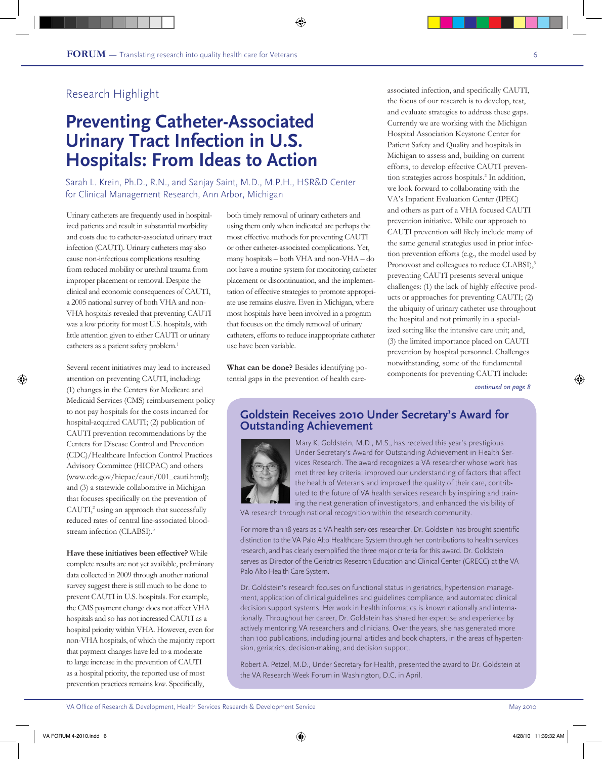# **Preventing Catheter-Associated Urinary Tract Infection in U.S. Hospitals: From Ideas to Action**

Sarah L. Krein, Ph.D., R.N., and Sanjay Saint, M.D., M.P.H., HSR&D Center for Clinical Management Research, Ann Arbor, Michigan

Urinary catheters are frequently used in hospitalized patients and result in substantial morbidity and costs due to catheter-associated urinary tract infection (CAUTI). Urinary catheters may also cause non-infectious complications resulting from reduced mobility or urethral trauma from improper placement or removal. Despite the clinical and economic consequences of CAUTI, a 2005 national survey of both VHA and non-VHA hospitals revealed that preventing CAUTI was a low priority for most U.S. hospitals, with little attention given to either CAUTI or urinary catheters as a patient safety problem.<sup>1</sup>

Several recent initiatives may lead to increased attention on preventing CAUTI, including: (1) changes in the Centers for Medicare and Medicaid Services (CMS) reimbursement policy to not pay hospitals for the costs incurred for hospital-acquired CAUTI; (2) publication of CAUTI prevention recommendations by the Centers for Disease Control and Prevention (CDC)/Healthcare Infection Control Practices Advisory Committee (HICPAC) and others (www.cdc.gov/hicpac/cauti/001\_cauti.html); and (3) a statewide collaborative in Michigan that focuses specifically on the prevention of CAUTI,<sup>2</sup> using an approach that successfully reduced rates of central line-associated bloodstream infection (CLABSI).<sup>3</sup>

**Have these initiatives been effective?** While complete results are not yet available, preliminary data collected in 2009 through another national survey suggest there is still much to be done to prevent CAUTI in U.S. hospitals. For example, the CMS payment change does not affect VHA hospitals and so has not increased CAUTI as a hospital priority within VHA. However, even for non-VHA hospitals, of which the majority report that payment changes have led to a moderate to large increase in the prevention of CAUTI as a hospital priority, the reported use of most prevention practices remains low. Specifically,

both timely removal of urinary catheters and using them only when indicated are perhaps the most effective methods for preventing CAUTI or other catheter-associated complications. Yet, many hospitals – both VHA and non-VHA – do not have a routine system for monitoring catheter placement or discontinuation, and the implementation of effective strategies to promote appropriate use remains elusive. Even in Michigan, where most hospitals have been involved in a program that focuses on the timely removal of urinary catheters, efforts to reduce inappropriate catheter use have been variable.

**What can be done?** Besides identifying potential gaps in the prevention of health careassociated infection, and specifically CAUTI, the focus of our research is to develop, test, and evaluate strategies to address these gaps. Currently we are working with the Michigan Hospital Association Keystone Center for Patient Safety and Quality and hospitals in Michigan to assess and, building on current efforts, to develop effective CAUTI prevention strategies across hospitals.<sup>2</sup> In addition, we look forward to collaborating with the VA's Inpatient Evaluation Center (IPEC) and others as part of a VHA focused CAUTI prevention initiative. While our approach to CAUTI prevention will likely include many of the same general strategies used in prior infection prevention efforts (e.g., the model used by Pronovost and colleagues to reduce CLABSI),<sup>3</sup> preventing CAUTI presents several unique challenges: (1) the lack of highly effective products or approaches for preventing CAUTI; (2) the ubiquity of urinary catheter use throughout the hospital and not primarily in a specialized setting like the intensive care unit; and, (3) the limited importance placed on CAUTI prevention by hospital personnel. Challenges notwithstanding, some of the fundamental components for preventing CAUTI include:

*continued on page 8*

## **Goldstein Receives 2010 Under Secretary's Award for Outstanding Achievement**



Mary K. Goldstein, M.D., M.S., has received this year's prestigious Under Secretary's Award for Outstanding Achievement in Health Services Research. The award recognizes a VA researcher whose work has met three key criteria: improved our understanding of factors that affect the health of Veterans and improved the quality of their care, contributed to the future of VA health services research by inspiring and training the next generation of investigators, and enhanced the visibility of

VA research through national recognition within the research community.

For more than 18 years as a VA health services researcher, Dr. Goldstein has brought scientific distinction to the VA Palo Alto Healthcare System through her contributions to health services research, and has clearly exemplified the three major criteria for this award. Dr. Goldstein serves as Director of the Geriatrics Research Education and Clinical Center (GRECC) at the VA Palo Alto Health Care System.

Dr. Goldstein's research focuses on functional status in geriatrics, hypertension management, application of clinical guidelines and guidelines compliance, and automated clinical decision support systems. Her work in health informatics is known nationally and internationally. Throughout her career, Dr. Goldstein has shared her expertise and experience by actively mentoring VA researchers and clinicians. Over the years, she has generated more than 100 publications, including journal articles and book chapters, in the areas of hypertension, geriatrics, decision-making, and decision support.

Robert A. Petzel, M.D., Under Secretary for Health, presented the award to Dr. Goldstein at the VA Research Week Forum in Washington, D.C. in April.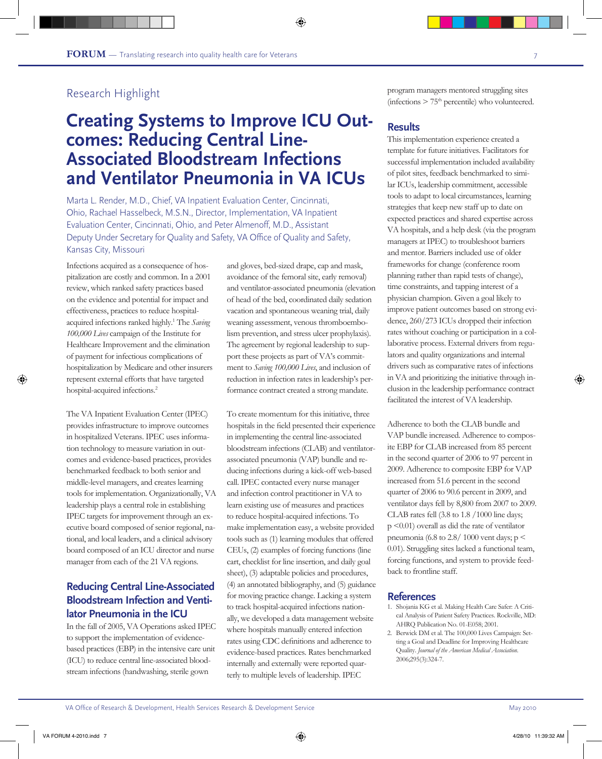# **Creating Systems to Improve ICU Out- comes: Reducing Central Line-Associated Bloodstream Infections and Ventilator Pneumonia in VA ICUs**

Marta L. Render, M.D., Chief, VA Inpatient Evaluation Center, Cincinnati, Ohio, Rachael Hasselbeck, M.S.N., Director, Implementation, VA Inpatient Evaluation Center, Cincinnati, Ohio, and Peter Almenoff, M.D., Assistant Deputy Under Secretary for Quality and Safety, VA Office of Quality and Safety, Kansas City, Missouri

Infections acquired as a consequence of hospitalization are costly and common. In a 2001 review, which ranked safety practices based on the evidence and potential for impact and effectiveness, practices to reduce hospitalacquired infections ranked highly.<sup>1</sup> The *Saving 100,000 Lives* campaign of the Institute for Healthcare Improvement and the elimination of payment for infectious complications of hospitalization by Medicare and other insurers represent external efforts that have targeted hospital-acquired infections.<sup>2</sup>

The VA Inpatient Evaluation Center (IPEC) provides infrastructure to improve outcomes in hospitalized Veterans. IPEC uses information technology to measure variation in outcomes and evidence-based practices, provides benchmarked feedback to both senior and middle-level managers, and creates learning tools for implementation. Organizationally, VA leadership plays a central role in establishing IPEC targets for improvement through an executive board composed of senior regional, national, and local leaders, and a clinical advisory board composed of an ICU director and nurse manager from each of the 21 VA regions.

## **Reducing Central Line-Associated Bloodstream Infection and Ventilator Pneumonia in the ICU**

In the fall of 2005, VA Operations asked IPEC to support the implementation of evidencebased practices (EBP) in the intensive care unit (ICU) to reduce central line-associated bloodstream infections (handwashing, sterile gown

and gloves, bed-sized drape, cap and mask, avoidance of the femoral site, early removal) and ventilator-associated pneumonia (elevation of head of the bed, coordinated daily sedation vacation and spontaneous weaning trial, daily weaning assessment, venous thromboembolism prevention, and stress ulcer prophylaxis). The agreement by regional leadership to support these projects as part of VA's commitment to *Saving 100,000 Lives*, and inclusion of reduction in infection rates in leadership's performance contract created a strong mandate.

To create momentum for this initiative, three hospitals in the field presented their experience in implementing the central line-associated bloodstream infections (CLAB) and ventilatorassociated pneumonia (VAP) bundle and reducing infections during a kick-off web-based call. IPEC contacted every nurse manager and infection control practitioner in VA to learn existing use of measures and practices to reduce hospital-acquired infections. To make implementation easy, a website provided tools such as (1) learning modules that offered CEUs, (2) examples of forcing functions (line cart, checklist for line insertion, and daily goal sheet), (3) adaptable policies and procedures, (4) an annotated bibliography, and (5) guidance for moving practice change. Lacking a system to track hospital-acquired infections nationally, we developed a data management website where hospitals manually entered infection rates using CDC definitions and adherence to evidence-based practices. Rates benchmarked internally and externally were reported quarterly to multiple levels of leadership. IPEC

program managers mentored struggling sites (infections  $> 75<sup>th</sup>$  percentile) who volunteered.

## **Results**

This implementation experience created a template for future initiatives. Facilitators for successful implementation included availability of pilot sites, feedback benchmarked to similar ICUs, leadership commitment, accessible tools to adapt to local circumstances, learning strategies that keep new staff up to date on expected practices and shared expertise across VA hospitals, and a help desk (via the program managers at IPEC) to troubleshoot barriers and mentor. Barriers included use of older frameworks for change (conference room planning rather than rapid tests of change), time constraints, and tapping interest of a physician champion. Given a goal likely to improve patient outcomes based on strong evidence, 260/273 ICUs dropped their infection rates without coaching or participation in a collaborative process. External drivers from regulators and quality organizations and internal drivers such as comparative rates of infections in VA and prioritizing the initiative through inclusion in the leadership performance contract facilitated the interest of VA leadership.

Adherence to both the CLAB bundle and VAP bundle increased. Adherence to composite EBP for CLAB increased from 85 percent in the second quarter of 2006 to 97 percent in 2009. Adherence to composite EBP for VAP increased from 51.6 percent in the second quarter of 2006 to 90.6 percent in 2009, and ventilator days fell by 8,800 from 2007 to 2009. CLAB rates fell (3.8 to 1.8 /1000 line days;  $p \leq 0.01$ ) overall as did the rate of ventilator pneumonia (6.8 to 2.8/ 1000 vent days;  $p <$ 0.01). Struggling sites lacked a functional team, forcing functions, and system to provide feedback to frontline staff.

- 1. Shojania KG et al. Making Health Care Safer: A Critical Analysis of Patient Safety Practices. Rockville, MD: AHRQ Publication No. 01-E058; 2001.
- 2. Berwick DM et al. The 100,000 Lives Campaign: Setting a Goal and Deadline for Improving Healthcare Quality. *Journal of the American Medical Association*. 2006;295(3):324-7.